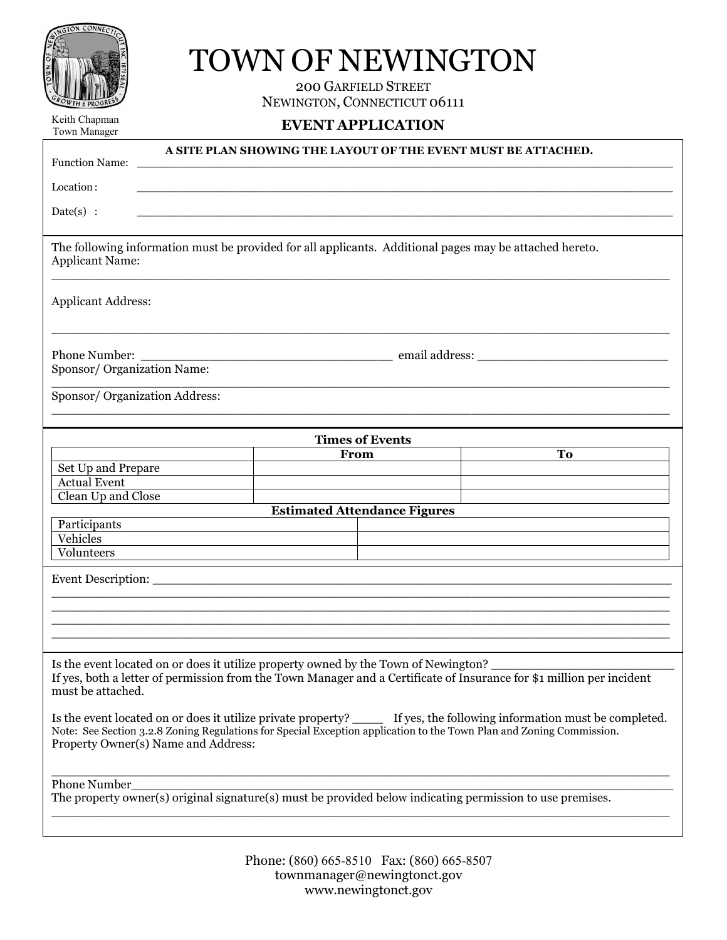| NGTON CONNECTIC             |
|-----------------------------|
|                             |
|                             |
|                             |
|                             |
|                             |
|                             |
| <b>GROWTH &amp; PROGRES</b> |

# TOWN OF NEWINGTON

200 GARFIELD STREET NEWINGTON, CONNECTICUT 06111

Keith Chapman Town Manager

# **EVENT APPLICATION**

| <b>Function Name:</b>                                                                                                                                                                                                                                                                  |  |                                     | A SITE PLAN SHOWING THE LAYOUT OF THE EVENT MUST BE ATTACHED. |  |
|----------------------------------------------------------------------------------------------------------------------------------------------------------------------------------------------------------------------------------------------------------------------------------------|--|-------------------------------------|---------------------------------------------------------------|--|
| Location:                                                                                                                                                                                                                                                                              |  |                                     |                                                               |  |
| $Date(s)$ :                                                                                                                                                                                                                                                                            |  |                                     |                                                               |  |
| The following information must be provided for all applicants. Additional pages may be attached hereto.<br><b>Applicant Name:</b>                                                                                                                                                      |  |                                     |                                                               |  |
| <b>Applicant Address:</b>                                                                                                                                                                                                                                                              |  |                                     |                                                               |  |
| Phone Number:<br>Sponsor/ Organization Name:                                                                                                                                                                                                                                           |  |                                     |                                                               |  |
| Sponsor/ Organization Address:                                                                                                                                                                                                                                                         |  |                                     |                                                               |  |
| <b>Times of Events</b>                                                                                                                                                                                                                                                                 |  |                                     |                                                               |  |
| Set Up and Prepare                                                                                                                                                                                                                                                                     |  | From                                | To                                                            |  |
| <b>Actual Event</b>                                                                                                                                                                                                                                                                    |  |                                     |                                                               |  |
| Clean Up and Close                                                                                                                                                                                                                                                                     |  |                                     |                                                               |  |
|                                                                                                                                                                                                                                                                                        |  | <b>Estimated Attendance Figures</b> |                                                               |  |
| Participants<br>Vehicles                                                                                                                                                                                                                                                               |  |                                     |                                                               |  |
| Volunteers                                                                                                                                                                                                                                                                             |  |                                     |                                                               |  |
|                                                                                                                                                                                                                                                                                        |  |                                     |                                                               |  |
|                                                                                                                                                                                                                                                                                        |  |                                     |                                                               |  |
|                                                                                                                                                                                                                                                                                        |  |                                     |                                                               |  |
|                                                                                                                                                                                                                                                                                        |  |                                     |                                                               |  |
|                                                                                                                                                                                                                                                                                        |  |                                     |                                                               |  |
| Is the event located on or does it utilize property owned by the Town of Newington?<br>If yes, both a letter of permission from the Town Manager and a Certificate of Insurance for \$1 million per incident<br>must be attached.                                                      |  |                                     |                                                               |  |
| Is the event located on or does it utilize private property? _____ If yes, the following information must be completed.<br>Note: See Section 3.2.8 Zoning Regulations for Special Exception application to the Town Plan and Zoning Commission.<br>Property Owner(s) Name and Address: |  |                                     |                                                               |  |
| Phone Number_<br>The property owner(s) original signature(s) must be provided below indicating permission to use premises.                                                                                                                                                             |  |                                     |                                                               |  |
|                                                                                                                                                                                                                                                                                        |  |                                     |                                                               |  |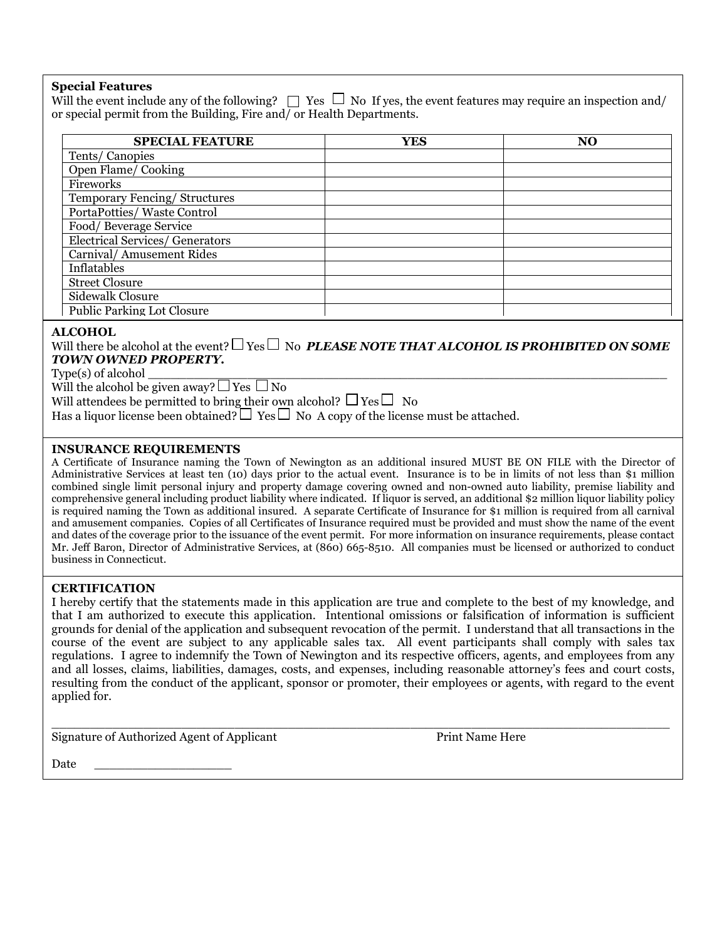#### **Special Features**

Will the event include any of the following?  $\Box$  Yes  $\Box$  No If yes, the event features may require an inspection and/ or special permit from the Building, Fire and/ or Health Departments.

| <b>SPECIAL FEATURE</b>            | <b>YES</b> | N <sub>O</sub> |
|-----------------------------------|------------|----------------|
| Tents/Canopies                    |            |                |
| Open Flame/Cooking                |            |                |
| Fireworks                         |            |                |
| Temporary Fencing/Structures      |            |                |
| PortaPotties/Waste Control        |            |                |
| Food/Beverage Service             |            |                |
| Electrical Services/ Generators   |            |                |
| Carnival/ Amusement Rides         |            |                |
| Inflatables                       |            |                |
| <b>Street Closure</b>             |            |                |
| Sidewalk Closure                  |            |                |
| <b>Public Parking Lot Closure</b> |            |                |

## **ALCOHOL**

Will there be alcohol at the event?  $\Box$  Yes  $\Box$  No **PLEASE NOTE THAT ALCOHOL IS PROHIBITED ON SOME** *TOWN OWNED PROPERTY.*

 $Type(s)$  of alcohol

Will the alcohol be given away?  $\Box$  Yes  $\Box$  No

Will attendees be permitted to bring their own alcohol?  $\Box$  Yes  $\Box$  No

Has a liquor license been obtained?  $\Box$  Yes  $\Box$  No A copy of the license must be attached.

## **INSURANCE REQUIREMENTS**

A Certificate of Insurance naming the Town of Newington as an additional insured MUST BE ON FILE with the Director of Administrative Services at least ten (10) days prior to the actual event. Insurance is to be in limits of not less than \$1 million combined single limit personal injury and property damage covering owned and non-owned auto liability, premise liability and comprehensive general including product liability where indicated. If liquor is served, an additional \$2 million liquor liability policy is required naming the Town as additional insured. A separate Certificate of Insurance for \$1 million is required from all carnival and amusement companies. Copies of all Certificates of Insurance required must be provided and must show the name of the event and dates of the coverage prior to the issuance of the event permit. For more information on insurance requirements, please contact Mr. Jeff Baron, Director of Administrative Services, at (860) 665-8510. All companies must be licensed or authorized to conduct business in Connecticut.

#### **CERTIFICATION**

I hereby certify that the statements made in this application are true and complete to the best of my knowledge, and that I am authorized to execute this application. Intentional omissions or falsification of information is sufficient grounds for denial of the application and subsequent revocation of the permit. I understand that all transactions in the course of the event are subject to any applicable sales tax. All event participants shall comply with sales tax regulations. I agree to indemnify the Town of Newington and its respective officers, agents, and employees from any and all losses, claims, liabilities, damages, costs, and expenses, including reasonable attorney's fees and court costs, resulting from the conduct of the applicant, sponsor or promoter, their employees or agents, with regard to the event applied for.

 $\Box$ 

Signature of Authorized Agent of Applicant Print Name Here

Date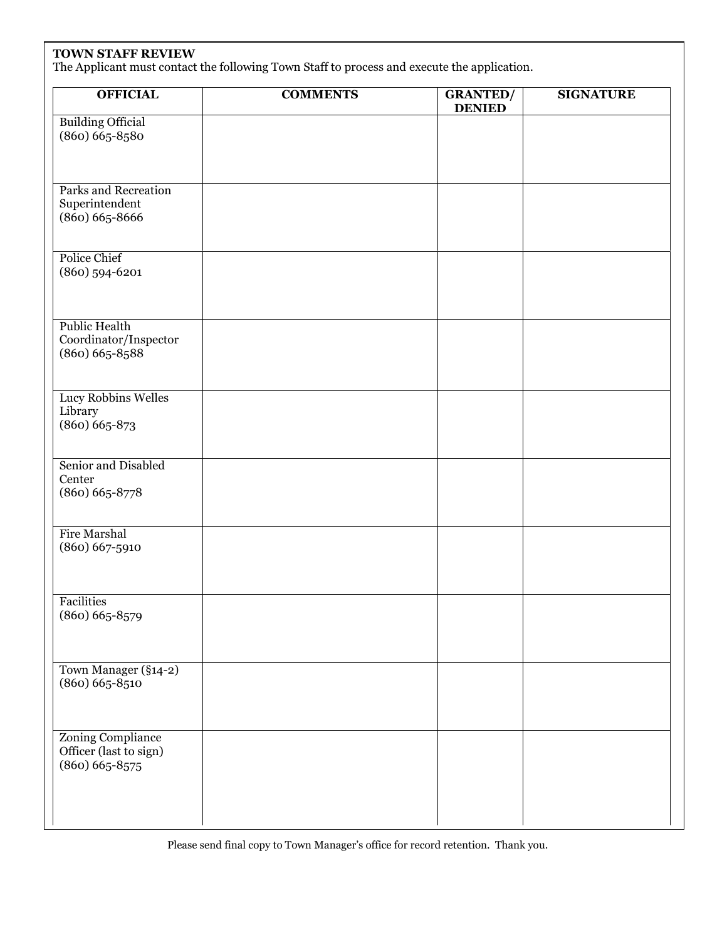# **TOWN STAFF REVIEW**

The Applicant must contact the following Town Staff to process and execute the application.

| <b>OFFICIAL</b>                                                     | <b>COMMENTS</b> | <b>GRANTED/</b><br><b>DENIED</b> | <b>SIGNATURE</b> |
|---------------------------------------------------------------------|-----------------|----------------------------------|------------------|
| <b>Building Official</b><br>$(860)$ $665 - 8580$                    |                 |                                  |                  |
| Parks and Recreation<br>Superintendent<br>$(860) 665 - 8666$        |                 |                                  |                  |
| <b>Police Chief</b><br>$(860)$ 594-6201                             |                 |                                  |                  |
| <b>Public Health</b><br>Coordinator/Inspector<br>$(860) 665 - 8588$ |                 |                                  |                  |
| Lucy Robbins Welles<br>Library<br>$(860) 665 - 873$                 |                 |                                  |                  |
| Senior and Disabled<br>Center<br>$(860) 665 - 8778$                 |                 |                                  |                  |
| <b>Fire Marshal</b><br>$(860) 667 - 5910$                           |                 |                                  |                  |
| <b>Facilities</b><br>$(860) 665 - 8579$                             |                 |                                  |                  |
| Town Manager (§14-2)<br>$(860) 665 - 8510$                          |                 |                                  |                  |
| Zoning Compliance<br>Officer (last to sign)<br>$(860) 665 - 8575$   |                 |                                  |                  |

Please send final copy to Town Manager's office for record retention. Thank you.